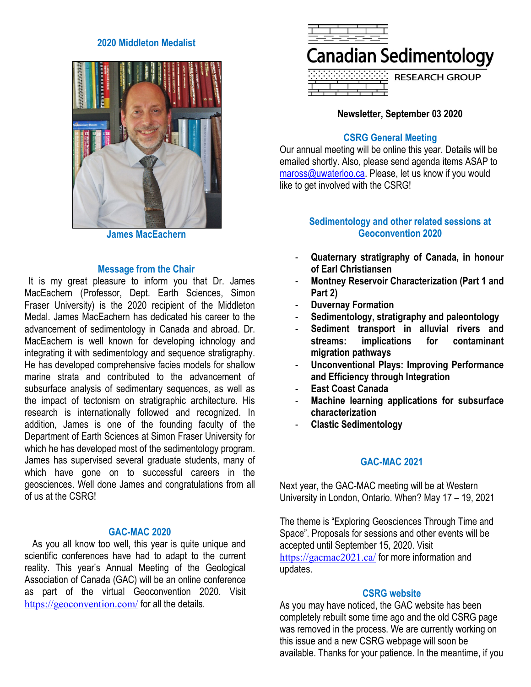### **2020 Middleton Medalist**



**James MacEachern**

## **Message from the Chair**

It is my great pleasure to inform you that Dr. James MacEachern (Professor, Dept. Earth Sciences, Simon Fraser University) is the 2020 recipient of the Middleton Medal. James MacEachern has dedicated his career to the advancement of sedimentology in Canada and abroad. Dr. MacEachern is well known for developing ichnology and integrating it with sedimentology and sequence stratigraphy. He has developed comprehensive facies models for shallow marine strata and contributed to the advancement of subsurface analysis of sedimentary sequences, as well as the impact of tectonism on stratigraphic architecture. His research is internationally followed and recognized. In addition, James is one of the founding faculty of the Department of Earth Sciences at Simon Fraser University for which he has developed most of the sedimentology program. James has supervised several graduate students, many of which have gone on to successful careers in the geosciences. Well done James and congratulations from all of us at the CSRG!

### **GAC-MAC 2020**

As you all know too well, this year is quite unique and scientific conferences have had to adapt to the current reality. This year's Annual Meeting of the Geological Association of Canada (GAC) will be an online conference as part of the virtual Geoconvention 2020. Visit <https://geoconvention.com/> for all the details.



**<u>RESERVED RESEARCH GROUP</u>** 

## **Newsletter, September 03 2020**

# **CSRG General Meeting**

Our annual meeting will be online this year. Details will be emailed shortly. Also, please send agenda items ASAP to [maross@uwaterloo.ca.](mailto:maross@uwaterloo.ca) Please, let us know if you would like to get involved with the CSRG!

## **Sedimentology and other related sessions at Geoconvention 2020**

- **Quaternary stratigraphy of Canada, in honour of Earl Christiansen**
- **Montney Reservoir Characterization (Part 1 and Part 2)**
- **Duvernay Formation**
- **Sedimentology, stratigraphy and paleontology**
- **Sediment transport in alluvial rivers and streams: implications for contaminant migration pathways**
- **Unconventional Plays: Improving Performance and Efficiency through Integration**
- **East Coast Canada**
- **Machine learning applications for subsurface characterization**
- **Clastic Sedimentology**

# **GAC-MAC 2021**

Next year, the GAC-MAC meeting will be at Western University in London, Ontario. When? May 17 – 19, 2021

The theme is "Exploring Geosciences Through Time and Space". Proposals for sessions and other events will be accepted until September 15, 2020. Visit <https://gacmac2021.ca/> for more information and updates.

### **CSRG website**

As you may have noticed, the GAC website has been completely rebuilt some time ago and the old CSRG page was removed in the process. We are currently working on this issue and a new CSRG webpage will soon be available. Thanks for your patience. In the meantime, if you